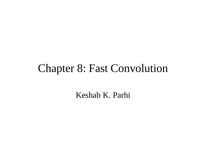# Chapter 8: Fast Convolution

Keshab K. Parhi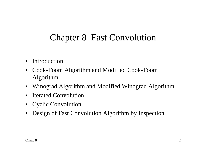# Chapter 8 Fast Convolution

- Introduction
- Cook-Toom Algorithm and Modified Cook-Toom Algorithm
- Winograd Algorithm and Modified Winograd Algorithm
- Iterated Convolution
- Cyclic Convolution
- Design of Fast Convolution Algorithm by Inspection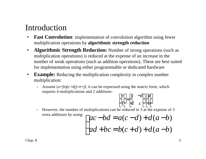## Introduction

- **Fast Convolution**: implementation of convolution algorithm using fewer multiplication operations by **algorithmic strength reduction**
- **Algorithmic Strength Reduction:** Number of strong operations (such as multiplication operations) is reduced at the expense of an increase in the number of weak operations (such as addition operations). These are best suited for implementation using either programmable or dedicated hardware
- **Example:** Reducing the multiplication complexity in complex number multiplication:
	- Assume  $(a+jb)(c+dj)=e+jf$ , it can be expressed using the matrix form, which requires 4 multiplications and 2 additions:

$$
\begin{bmatrix} e \\ f \end{bmatrix} = \begin{bmatrix} c & -d \\ d & c \end{bmatrix} \begin{bmatrix} a \\ b \end{bmatrix}
$$

### – However, the number of multiplications can be reduced to 3 at the expense of 3 extra additions by using:  $\int$

$$
\begin{cases} ac-bd = a(c-d) + d(a-b) \\ ad+bc = b(c+d) + d(a-b) \end{cases}
$$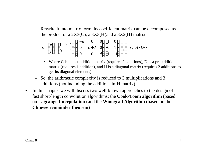– Rewrite it into matrix form, its coefficient matrix can be decomposed as the product of a 2X3(**C**), a 3X3(**H**)and a 3X2(**D**) matrix:

$$
s = \begin{bmatrix} e \\ f \end{bmatrix} = \begin{bmatrix} 1 & 0 & 1 \\ 0 & 1 & 1 \end{bmatrix} \cdot \begin{bmatrix} c - d & 0 & 0 \\ 0 & c + d & 0 \\ 0 & 0 & d \end{bmatrix} \cdot \begin{bmatrix} 1 & 0 \\ 0 & 1 \\ 1 & -1 \end{bmatrix} \cdot \begin{bmatrix} a \\ b \end{bmatrix} = C \cdot H \cdot D \cdot x
$$

- Where C is a post-addition matrix (requires 2 additions), D is a pre-addition matrix (requires 1 addition), and H is a diagonal matrix (requires 2 additions to get its diagonal elements)
- So, the arithmetic complexity is reduced to 3 multiplications and 3 additions (not including the additions in **H** matrix)
- In this chapter we will discuss two well-known approaches to the design of fast short-length convolution algorithms: the **Cook-Toom algorithm** (based on **Lagrange Interpolation**) and the **Winograd Algorithm** (based on the **Chinese remainder theorem**)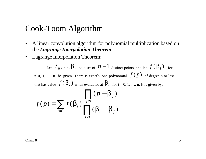### Cook-Toom Algorithm

- A linear convolution algorithm for polynomial multiplication based on the *Lagrange Interpolation Theorem*
- Lagrange Interpolation Theorem:

Let  $\bm{b}_0$ ,....,  $\bm{b}_n$  be a set of  $n+1$  distinct points, and let  $f(\bm{b}_i)$ , for i = 0, 1, ..., n be given. There is exactly one polynomial  $f(p)$  of degree n or less that has value  $f(\boldsymbol{b}_i)$  when evaluated at  $\boldsymbol{b}_i$  for i = 0, 1, ..., n. It is given by: ∏ − *j i n*  $\prod_{i} (p - \nu_{i})$ *p*  $(p - \mathbf{b}_i)$ *b*

$$
f(p) = \sum_{i=0}^{n} f(\boldsymbol{b}_i) \frac{j \neq i}{\prod_{j \neq i} (\boldsymbol{b}_i - \boldsymbol{b}_j)}
$$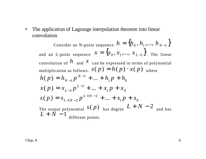• The application of Lagrange interpolation theorem into linear convolution

Consider an N-point sequence  $h = \{h_0, h_1, ..., h_{N-1}\}$ and an L-point sequence  $x = \{x_0, x_1, ..., x_{L-1}\}$ . The linear convolution of  $h$  and  $x$  can be expressed in terms of polynomial multiplication as follows:  $s(p) = h(p) \cdot x(p)$  where  $1^{\prime}$   $1^{\prime}$   $0$ 1  $h(p) = h_{N-1}p^{N-1} + ... + h_1p + h$  $= h_{N-1} p^{N-1} + ... + h_1 p + ...$ −  $1 P^{-1}$   $\lambda_0$ 1  $x(p) = x_{L-1}p^{L-1} + ... + x_1p + x$  $= x_{L-1} p^{L-1} + ... + x_1 p + ...$ −  $1 P^{-1}$   $\rightarrow 0$ 2  $s(p) = s_{L+N-2}p^{L+N-2} + ... + s_{1}p + s$  $+ N -$ The output polynomial  $S(p)$  has degree  $L+N-2$  and has  $L + \dot{N} - 1$ different points.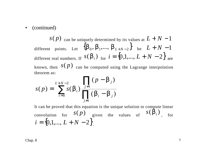• (continued)

*s*(*p*) can be uniquely determined by its values at  $L + N - 1$ different points. Let  $\{\boldsymbol{b}_0, \boldsymbol{b}_1, ..., \boldsymbol{b}_{L+N-2}\}$  be  $L+N-1$ different real numbers. If  $\ s(\bm b_i)$  <sub>for</sub>  $i=\{0{,}1{,}... , L+N-2\}$   $_{\rm are}$ known, then  $S(p)$  can be computed using the Lagrange interpolation theorem as:

$$
s(p) = \sum_{i=0}^{L+N-2} s(\boldsymbol{b}_i) \frac{\prod_{j \neq i} (p - \boldsymbol{b}_j)}{\prod_{j \neq i} (\boldsymbol{b}_i - \boldsymbol{b}_j)}
$$

It can be proved that this equation is the unique solution to compute linear convolution for  $s(p)$  given the values of  $s(\boldsymbol{b}_i)$ , for  $i = \{0, 1, \ldots, L + N - 2\}.$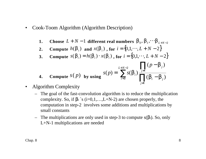- Cook-Toom Algorithm (Algorithm Description)
	- **1.** Choose  $L+N-1$  different real numbers  $\boldsymbol{b}_0, \boldsymbol{b}_1, \cdots \boldsymbol{b}_{L+N-2}$
	- **2. Compute**  $h(\mathbf{b}_i)$  and  $x(\mathbf{b}_i)$ , for  $i = \{0, 1, \dots, L + N 2\}$
	- **3. Compute**  $s(\mathbf{b}_i) = h(\mathbf{b}_i) \cdot x(\mathbf{b}_i)$ , for  $i = \{0, 1, \dots, L + N 2\}$

4. Compute 
$$
S(p)
$$
 by using 
$$
S(p) = \sum_{i=0}^{L+N-2} s(\mathbf{b}_i) \prod_{j \neq i} (p - \mathbf{b}_j)
$$

- Algorithm Complexity
	- The goal of the fast-convolution algorithm is to reduce the multiplication complexity. So, if  $\beta$ i `s (i=0,1,...,L+N-2) are chosen properly, the computation in step-2 involves some additions and multiplications by small constants
	- The multiplications are only used in step-3 to compute  $s(β<sub>i</sub>)$ . So, only L+N-1 multiplications are needed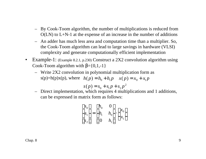- By Cook-Toom algorithm, the number of multiplications is reduced from  $O(LN)$  to  $L+N-1$  at the expense of an increase in the number of additions
- An adder has much less area and computation time than a multiplier. So, the Cook-Toom algorithm can lead to large savings in hardware (VLSI) complexity and generate computationally efficient implementation
- Example-1: (Example 8.2.1, p.230) Construct a 2X2 convolution algorithm using Cook-Toom algorithm with  $\beta = \{0,1,-1\}$ 
	- Write 2X2 convolution in polynomial multiplication form as s(p)=h(p)x(p), where  $h(p) = h_0 + h_1 p$   $x(p) = x_0 + x_1 p$

$$
s(p) = s_0 + s_1 p + s_2 p^2
$$

– Direct implementation, which requires 4 multiplications and 1 additions, can be expressed in matrix form as follows:

$$
\begin{bmatrix} s_0 \\ s_1 \\ s_2 \end{bmatrix} = \begin{bmatrix} h_0 & 0 \\ h_1 & h_0 \\ 0 & h_1 \end{bmatrix} \cdot \begin{bmatrix} x_0 \\ x_1 \end{bmatrix}
$$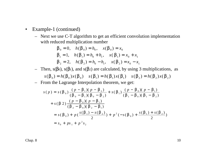- Example-1 (continued)
	- Next we use C-T algorithm to get an efficient convolution implementation with reduced multiplication number

$$
\mathbf{b}_0 = 0, \quad h(\mathbf{b}_0) = h_0, \quad x(\mathbf{b}_0) = x_0
$$
  

$$
\mathbf{b}_1 = 1, \quad h(\mathbf{b}_1) = h_0 + h_1, \quad x(\mathbf{b}_1) = x_0 + x_1
$$
  

$$
\mathbf{b}_2 = 2, \quad h(\mathbf{b}_2) = h_0 - h_1, \quad x(\mathbf{b}_2) = x_0 - x_1
$$

- Then, s( $β$ 0), s( $β$ 1), and s( $β$ 2) are calculated, by using 3 multiplications, as  $s(\mathbf{b}_0) = h(\mathbf{b}_0) x(\mathbf{b}_0)$   $s(\mathbf{b}_1) = h(\mathbf{b}_1) x(\mathbf{b}_1)$   $s(\mathbf{b}_2) = h(\mathbf{b}_2) x(\mathbf{b}_2)$
- From the Lagrange Interpolation theorem, we get:

$$
s(p) = s(b_0) \frac{(p - b_1)(p - b_2)}{(b_0 - b_1)(b_0 - b_2)} + s(b_1) \frac{(p - b_0)(p - b_1)}{(b_1 - b_0)(b_1 - b_2)}
$$
  
+ 
$$
s(b_2) \frac{(p - b_0)(p - b_1)}{(b_2 - b_0)(b_2 - b_1)}
$$
  
= 
$$
s(b_0) + p(\frac{s(b_1) - s(b_2)}{2}) + p^2(-s(b_0) + \frac{s(b_1) + s(b_2)}{2})
$$
  
= 
$$
s_0 + ps_1 + p^2 s_2
$$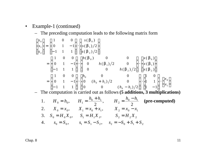- Example-1 (continued)
	- The preceding computation leads to the following matrix form

$$
\begin{bmatrix} s_0 \\ s_1 \\ s_2 \end{bmatrix} = \begin{bmatrix} 1 & 0 & 0 \\ 0 & 1 & -1 \\ -1 & 1 & 1 \end{bmatrix} \cdot \begin{bmatrix} s(\mathbf{b}_0) \\ s(\mathbf{b}_1)/2 \\ s(\mathbf{b}_2)/2 \end{bmatrix}
$$
  
= 
$$
\begin{bmatrix} 1 & 0 & 0 \\ 0 & 1 & -1 \\ -1 & 1 & 1 \end{bmatrix} \cdot \begin{bmatrix} h(\mathbf{b}_0) & 0 & 0 \\ 0 & h(\mathbf{b}_1)/2 & 0 \\ 0 & 0 & h(\mathbf{b}_2)/2 \end{bmatrix} \cdot \begin{bmatrix} x(\mathbf{b}_0) \\ x(\mathbf{b}_1) \\ x(\mathbf{b}_2) \end{bmatrix}
$$
  
= 
$$
\begin{bmatrix} 1 & 0 & 0 \\ 0 & 1 & -1 \\ -1 & 1 & 1 \end{bmatrix} \cdot \begin{bmatrix} h_0 & 0 & 0 \\ 0 & (h_0 + h_1)/2 & 0 \\ 0 & 0 & (h_0 - h_1)/2 \end{bmatrix} \cdot \begin{bmatrix} 1 & 0 \\ 1 & 1 \\ 1 & -1 \end{bmatrix} \cdot \begin{bmatrix} x_0 \\ x_1 \end{bmatrix}
$$

– The computation is carried out as follows **(5 additions, 3 multiplications)**

1. 
$$
H_0 = h_0
$$
,  $H_1 = \frac{h_0 + h_1}{2}$ ,  $H_2 = \frac{h_0 - h_1}{2}$  (pre-computed)  
\n2.  $X_0 = x_0$ ,  $X_1 = x_0 + x_1$ ,  $X_2 = x_0 - x_1$   
\n3.  $S_0 = H_0 X_0$ ,  $S_1 = H_1 X_1$ ,  $S_2 = H_2 X_2$   
\n4.  $s_0 = S_0$ ,  $s_1 = S_1 - S_2$ ,  $s_2 = -S_0 + S_1 + S_2$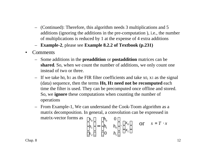- (Continued): Therefore, this algorithm needs 3 multiplications and 5 additions (ignoring the additions in the pre-computation ), i.e., the number of multiplications is reduced by 1 at the expense of 4 extra additions
- **Example-2**, please see **Example 8.2.2 of Textbook (p.231)**
- Comments
	- Some additions in the **preaddition** or **postaddition** matrices can be **shared**. So, when we count the number of additions, we only count one instead of two or three.
	- If we take h0, h1 as the FIR filter coefficients and take x0, x1 as the signal (data) sequence, then the terms **H0, H1 need not be recomputed** each time the filter is used. They can be precomputed once offline and stored. So, we **ignore** these computations when counting the number of operations
	- From Example-1, We can understand the Cook-Toom algorithm as a matrix decomposition. In general, a convolution can be expressed in matrix-vector forms as  $\begin{bmatrix} s_0 \end{bmatrix} \begin{bmatrix} h_0 \end{bmatrix}$  $0 \bigm]$

$$
\begin{bmatrix} s_0 \\ s_1 \\ s_2 \end{bmatrix} = \begin{bmatrix} h_0 & 0 \\ h_1 & h_0 \\ 0 & h_1 \end{bmatrix} \cdot \begin{bmatrix} x_0 \\ x_1 \end{bmatrix} \quad \text{or} \quad s = T \cdot x
$$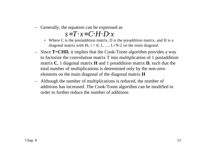– Generally, the equation can be expressed as

### *s*=*T*⋅*x*=*C*⋅*H*⋅*D*⋅*x*

- Where C is the postaddition matrix, D is the preaddition matrix, and H is a diagonal matrix with H<sub>i</sub>,  $i = 0, 1, ..., L+N-2$  on the main diagonal.
- Since **T=CHD**, it implies that the Cook-Toom algorithm provides a way to factorize the convolution matrix T into multiplication of 1 postaddition matrix **C**, 1 diagonal matrix **H** and 1 preaddition matrix **D**, such that the total number of multiplications is determined only by the non-zero elements on the main diagonal of the diagonal matrix **H**
- Although the number of multiplications is reduced, the number of additions has increased. The Cook-Toom algorithm can be modified in order to further reduce the number of additions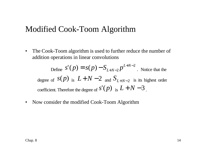## Modified Cook-Toom Algorithm

• The Cook-Toom algorithm is used to further reduce the number of addition operations in linear convolutions

Define 2  $S(p) = S(p) - S_{L+N-2} p^{L+N-1}$  $S'(p) = S(p) - S_{L+N-2}p^{L+N-2}$ . Notice that the degree of *s*(*p*) is  $L+N-2$  and  $S$ <sub>*L*+*N*−2 is its highest order</sub> coefficient. Therefore the degree of  $s'(p)$  is  $L+N-3$ .

• Now consider the modified Cook-Toom Algorithm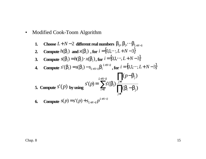• Modified Cook-Toom Algorithm

1. Choose 
$$
L+N-2
$$
 different real numbers  $b_0, b_1, \cdots, b_{L+N-3}$ 

- **2. Compute**  $h(\mathbf{b}_i)$  and  $x(\mathbf{b}_i)$ , for  $i = \{0, 1, \dots, L+N-3\}$
- **3. Compute**  $s(\mathbf{b}_i) = h(\mathbf{b}_i) \cdot x(\mathbf{b}_i)$ , for  $i = \{0, 1, \dots, L+N-3\}$

**4.** Compute 
$$
s'(b_i) = s(b_i) - s_{L+N-2}b_i^{L+N-2}
$$
, for  $i = \{0,1,\dots, L+N-3\}$ 

5. Compute 
$$
S'(p)
$$
 by using  $S'(p) = \sum_{i=0}^{L+N-2} S'(b_i) \frac{\prod_{j \neq i} (p-b_j)}{\prod_{j \neq i} (b_i - b_j)}$ 

6. Compute 
$$
s(p) = s'(p) + s_{L+N-2}p^{L+N-2}
$$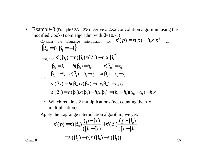- Example-3 (Example 8.2.3, p.234) Derive a 2X2 convolution algorithm using the modified Cook-Toom algorithm with  $\beta = \{0, -1\}$  $\mathbf{b}_1 = -1, \quad h(\mathbf{b}_1) = h_0 - h_1, \quad x(\mathbf{b}_1) = x_0 - x_1$ Consider the Lagrange interpolation for 2  $s'(p) = s(p) - h_1 x_1 p^2$  at  ${ \bf b}_0 = 0, {\bf b}_1 = -1 \}.$ First, find 2  $s'(\boldsymbol{b}_i) = h(\boldsymbol{b}_i)x(\boldsymbol{b}_i) - h_1x_1\boldsymbol{b}_i$ *h*<sub>0</sub> = 0,  $h(\mathbf{b}_0) = h_0$ ,  $x(\mathbf{b}_0) = x_0$ 0  $\mathbf{u}_1 \wedge \mathbf{v}_0$   $\mathbf{v}_1 \wedge \mathbf{v}_1$ 2  $s'(\mathbf{b}_1) = h(\mathbf{b}_1)x(\mathbf{b}_1) - h_1x_1\mathbf{b}_1^2 = (h_0 - h_1)(x_0 - x_1) - h_1x_1$  $0^{\mathcal{A}}0$ 2  $s'(\mathbf{b}_0) = h(\mathbf{b}_0) x(\mathbf{b}_0) - h_1 x_1 \mathbf{b}_0^2 = h_0 x$ 
	- Which requires 2 multiplications (not counting the h1x1) multiplication)

- Apply the Lagrange interpolation algorithm, we get:  
\n
$$
s'(p) = s'(b_0) \frac{(p - b_1)}{(b_0 - b_1)} + s'(b_1) \frac{(p - b_0)}{(b_1 - b_0)}
$$
\n
$$
= s'(b_0) + p(s'(b_0) - s'(b_1))
$$
\n
$$
= 16
$$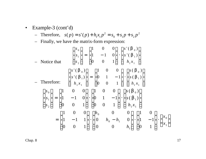• Example-3 (cont'd)

- Therefore, 
$$
s(p) = s'(p) + h_1 x_1 p^2 = s_0 + s_1 p + s_2 p^2
$$

– Finally, we have the matrix-form expression:

- Notice that 
$$
\begin{bmatrix} s_0 \\ s_1 \\ s_2 \end{bmatrix} = \begin{bmatrix} 1 & 0 & 0 \\ 1 & -1 & 0 \\ 0 & 0 & 1 \end{bmatrix} \cdot \begin{bmatrix} s'(\mathbf{b}_0) \\ s'(\mathbf{b}_1) \\ h_1x_1 \end{bmatrix}
$$
  
- Therefore: 
$$
\begin{bmatrix} s'(\mathbf{b}_0) \\ s'(\mathbf{b}_1) \\ h_1x_1 \end{bmatrix} = \begin{bmatrix} 1 & 0 & 0 \\ 0 & 1 & -1 \\ 0 & 0 & 1 \end{bmatrix} \cdot \begin{bmatrix} s(\mathbf{b}_0) \\ s(\mathbf{b}_1) \\ h_1x_1 \end{bmatrix}
$$

$$
\begin{bmatrix} s_0 \\ s_1 \\ s_2 \end{bmatrix} = \begin{bmatrix} 1 & 0 & 0 \\ 1 & -1 & 0 \\ 0 & 0 & 1 \end{bmatrix} \cdot \begin{bmatrix} 1 & 0 & 0 \\ 0 & 1 & -1 \\ 0 & 0 & 1 \end{bmatrix} \cdot \begin{bmatrix} s(\mathbf{b}_0) \\ s(\mathbf{b}_1) \\ h_1x_1 \end{bmatrix}
$$

$$
= \begin{bmatrix} 1 & 0 & 0 \\ 1 & -1 & 1 \\ 0 & 0 & 1 \end{bmatrix} \cdot \begin{bmatrix} h_0 & 0 & 0 \\ 0 & h_0 - h_1 & 0 \\ 0 & 0 & h_1 \end{bmatrix} \cdot \begin{bmatrix} 1 & 0 \\ 1 & -1 \\ 0 & 1 \end{bmatrix} \cdot \begin{bmatrix} x_0 \\ x_1 \end{bmatrix}
$$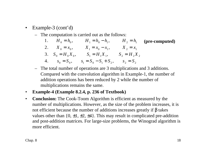- Example-3 (cont'd)
	- The computation is carried out as the follows:

| 1. $H_0 = h_0$ ,     | $H_1 = h_0 - h_1$                                      |             | $H_2 = h_1$ (pre-computed) |
|----------------------|--------------------------------------------------------|-------------|----------------------------|
| 2. $X_0 = x_0$ ,     | $X_1 = x_0 - x_1$                                      | $X_2 = x_1$ |                            |
| 3. $S_0 = H_0 X_0$ , | $S_1 = H_1 X_1, \qquad S_2 = H_2 X_2$                  |             |                            |
|                      | 4. $s_0 = S_0$ , $s_1 = S_0 - S_1 + S_2$ , $s_2 = S_2$ |             |                            |

- The total number of operations are 3 multiplications and 3 additions. Compared with the convolution algorithm in Example-1, the number of addition operations has been reduced by 2 while the number of multiplications remains the same.
- **Example-4 (Example 8.2.4, p. 236 of Textbook)**
- **Conclusion:** The Cook-Toom Algorithm is efficient as measured by the number of multiplications. However, as the size of the problem increases, it is not efficient because the number of additions increases greatly if β takes values other than  $\{0, \pm 1, \pm 2, \pm 4\}$ . This may result in complicated pre-addition and post-addition matrices. For large-size problems, the Winograd algorithm is more efficient.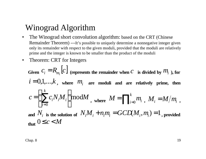## Winograd Algorithm

- The Winograd short convolution algorithm: based on the CRT (Chinese Remainder Theorem) ---It's possible to uniquely determine a nonnegative integer given only its remainder with respect to the given moduli, provided that the moduli are relatively prime and the integer is known to be smaller than the product of the moduli
- Theorem: CRT for Integers

Given 
$$
C_i = R_{m_i}[c]
$$
 (represents the remainder when  $C$  is divided by  $M_i$ ), for  $i = 0,1,...,k$ , where  $M_i$  are moduli and are relatively prime, then 
$$
c = \left(\sum_{i=0}^k c_i N_i M_i\right) \mod M
$$
, where  $M = \prod_{i=0}^k m_i$ ,  $M_i = M/m_i$ , and  $N_i$  is the solution of  $N_i M_i + n_i m_i = GCMM_i, m_i = 1$ , provided that  $0 \le c < M$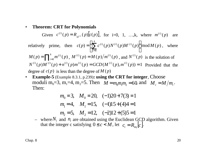#### • **Theorem: CRT for Polynomials**

Given  $c^{(i)}(p) = R_{m^{(i)}}(p)[c(p)]$  $E^{(i)}(p) = R_{m^{(i)}}(p)[c(p)]$ , for i=0, 1, ...,k, where  $m^{(i)}(p)$  are relatively prime, then  $c(p) = \sum_{i} c^{(i)}(p) N^{(i)}(p) M^{(i)}(p) \mod M(p)$ 0  $c(p) = \sum_{i} c^{(i)}(p) N^{(i)}(p) M^{(i)}(p) \mod M$ *k i*  $\chi^{(i)}(p)N^{(i)}(p)M^{(i)}(p)$  $\overline{\phantom{a}}$  $\overline{\phantom{a}}$  $\mathsf{I}$  $\setminus$  $\big($  $=\left(\sum_{i=0}c^{(i)}(p)N^{(i)}(p)M^{(i)}(p)\right) \mod M(p)$ , where  $= \prod\nolimits_{i=1}^k$  $M(p) = \prod_{i=0}^{k} m^{(i)}(p)$  $(p) = \prod_{i=0}^{k} m^{(i)}(p)$ ,  $M^{(i)}(p) = M(p)/m^{(i)}(p)$ , and  $N^{(i)}(p)$  is the solution of  $N^{(i)}(p)M^{(i)}(p) + n^{(i)}(p)m^{(i)}(p) = GCD(M^{(i)}(p),m^{(i)}(p)) = 1$  Provided that the degree of  $c(p)$  is less than the degree of  $M(p)$ 

• **Example-5** (Example 8.3.1, p.239)**: using the CRT for integer**, Choose moduli m<sub>0</sub>=3, m<sub>1</sub>=4, m<sub>2</sub>=5. Then  $M = m_0 m_1 m_2 = 60$  and  $M_i = M/m_i$ . Then:

$$
m_0 = 3
$$
,  $M_0 = 20$ ,  $(-1)20+7(3) = 1$   
\n $m_1 = 4$ ,  $M_1 = 15$ ,  $(-1)15+(4)4=1$   
\n $m_2 = 5$ ,  $M_2 = 12$ ,  $(-2)12+(5)5=1$ 

- where  $N_i$  and  $n_i$  are obtained using the Euclidean GCD algorithm. Given that the integer c satisfying  $0 \le c \le M$ , let  $c_i = R_{m_i}[c]$ .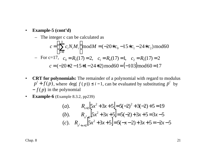#### • **Example-5 (cont'd)**

- The integer c can be calculated as  
\n
$$
c = \left(\sum_{i=0}^{k} c_i N_i M_i\right) \mod M = (-20 * c_0 - 15 * c_1 - 24 * c_2) \mod 60
$$
\n- For c=17,  $c_0 = R_3(17) = 2$ ,  $c_1 = R_4(17) = 1$ ,  $c_2 = R_5(17) = 2$   
\n $c = (-20 * 2 - 15 * 1 - 24 * 2) \mod 60 = (-103) \mod 60 = 17$ 

- **CRT for polynomials:** The remainder of a polynomial with regard to modulus  $p^{i} + f(p)$ , where deg(  $f(p) \leq i-1$ , can be evaluated by substituting  $p^{i}$  by  $-f(p)$  in the polynomial
- **Example-6** (Example 8.3.2, pp239)

(a). 
$$
R_{x+2}[5x^2+3x+5] = 5(-2)^2 + 3(-2) + 5 = 19
$$
  
\n(b).  $R_{x^2+2}[5x^2+3x+5] = 5(-2) + 3x + 5 = 3x - 5$   
\n(c).  $R_{x^2+x+2}[5x^2+3x+5] = 5(-x-2) + 3x + 5 = -2x - 5$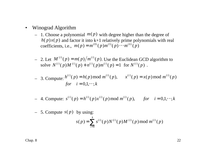- Winograd Algorithm
	- $-1$ . Choose a polynomial  $m(p)$  with degree higher than the degree of  $h(p)x(p)$  and factor it into k+1 relatively prime polynomials with real coefficients, i.e.,  $m(p) = m^{(0)}(p) m^{(1)}(p) \cdots m^{(k)}(p)$
	- $-$  2. Let  $M^{(i)}(p) = m(p)/m^{(i)}(p)$ . Use the Euclidean GCD algorithm to solve  $N^{(i)}(p)M^{(i)}(p) + n^{(i)}(p)m^{(i)}(p) = 1$  for  $N^{(i)}(p)$ .

- 3. Compute: 
$$
h^{(i)}(p) = h(p) \mod m^{(i)}(p)
$$
,  $x^{(i)}(p) = x(p) \mod m^{(i)}(p)$   
for  $i = 0,1,\dots,k$ 

- 4. Compute: 
$$
s^{(i)}(p) = h^{(i)}(p)x^{(i)}(p) \mod m^{(i)}(p)
$$
, for  $i = 0,1,\dots,k$ 

 $-5$ . Compute  $s(p)$  by using:

$$
s(p) = \sum_{i=0}^{k} s^{(i)}(p) N^{(i)}(p) M^{(i)}(p) \bmod m^{(i)}(p)
$$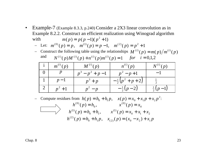• Example-7 (Example 8.3.3, p.240) Consider a 2X3 linear convolution as in Example 8.2.2. Construct an efficient realization using Winograd algorithm with  $m(p) = p(p-1)(p^2+1)$ 

- Let: 
$$
m^{(0)}(p) = p
$$
,  $m^{(1)}(p) = p - 1$ ,  $m^{(2)}(p) = p^2 + 1$ 

- Construct the following table using the relationships  $M^{(i)}(p) = m(p)/m^{(i)}(p)$ and  $N^{(i)}(p)M^{(i)}(p) + n^{(i)}(p)m^{(i)}(p) = 1$  *for*  $i = 0,1,2$ 

| $m^{(i)}(p)$ | $M^{(i)}(p)$        | $n^{(i)}(p)$            | $N^{(i)}(p)$     |
|--------------|---------------------|-------------------------|------------------|
|              | $p^3 - p^2 + p - 1$ | $p^2 - p + 1$           |                  |
| $p-1$        | $p^3+p$             | $-\frac{1}{2}(p^2+p+2)$ |                  |
| $p^2+1$      | $p^2-p$             | $-\frac{1}{2}(p-2)$     | $rac{1}{2}(p-1)$ |

- Compute residues from  $h(p) = h_0 + h_1 p$ ,  $x(p) = x_0 + x_1 p + x_2 p^2$ :  $h^{(2)}(p) = h_0 + h_1 p$ ,  $x_{(2)}(p) = (x_0 - x_2) + x_1 p$  $h^{(1)}(p) = h_0 + h_1,$   $x^{(1)}(p) = x_0 + x_1 + x_2$  $h^{(0)}(p) = h_0,$   $x^{(0)}(p) = x$  $f^{(2)}(p) = h_0 + h_1 p$ ,  $x_{(2)}(p) = (x_0 - x_2) +$  $0^{1}$   $\lambda_1^{1}$   $\lambda_2^{2}$ (1)  $0$   $\frac{1}{1}$ (1) 0 (0) 0 (0)  $(p) = h_0 + h_1,$   $x^{(1)}(p)$  $(p) = h_0,$   $x^{(0)}(p)$  $= h_0 + h_1,$   $x^{(1)}(p) = x_0 + x_1 +$  $= h_0,$   $x^{(0)}(p) =$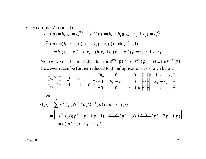• Example-7 (cont'd)  
\n
$$
s^{(0)}(p) = h_0 x_0 = s_0^{(0)}, \quad s^{(1)}(p) = (h_0 + h_1)(x_0 + x_1 + x_2) = s_0^{(1)}
$$
\n
$$
s^{(2)}(p) = (h_0 + h_1 p)((x_0 - x_2) + x_1 p) \mod (p^2 + 1)
$$
\n
$$
= h_0(x_0 - x_2) - h_1 x_1 + (h_0 x_1 + h_1(x_0 - x_2)) p = s_0^{(2)} + s_1^{(2)} p
$$

 $\rightarrow$  Notice, we need 1 multiplication for  $s^{(0)}(p)$ , 1 for  $s^{(1)}(p)$ , and 4 for  $s^{(2)}(p)$ 

– However it can be further reduced to 3 multiplications as shown below:

$$
\begin{bmatrix} s_0^{(2)} \\ s_1^{(2)} \end{bmatrix} = \begin{bmatrix} 1 & 0 & -1 \\ 1 & -1 & 0 \end{bmatrix} \cdot \begin{bmatrix} h_0 & 0 & 0 \\ 0 & h_0 - h_1 & 0 \\ 0 & 0 & h_0 + h_1 \end{bmatrix} \cdot \begin{bmatrix} x_0 + x_1 - x_2 \\ x_0 - x_2 \\ x_1 \end{bmatrix}
$$

– Then:

$$
s(p) = \sum_{i=0}^{2} s^{(i)}(p) N^{(i)}(p) M^{(i)}(p) \bmod m^{(i)}(p)
$$
  
=  $\left[ -s^{(0)}(p)(p^3 - p^2 + p - 1) + \frac{s^{(1)}(p)}{2}(p^3 + p) + \frac{s^{(2)}(p)}{2}(p^3 - 2p^2 + p) \right]$   
mod $(p^4 - p^3 + p^2 - p)$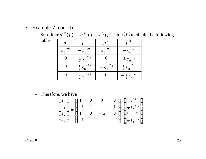- Example-7 (cont'd)
	- $\sim$  Substitute  $s^{(0)}(p)$ ,  $s^{(1)}(p)$ ,  $s^{(2)}(p)$  into  $s(p)$  to obtain the following

table

| $\boldsymbol{p}$    |                                     |              |                           |
|---------------------|-------------------------------------|--------------|---------------------------|
| (0)<br>$S_{\Omega}$ | (0)<br>$-$ S <sub>c</sub>           | $S^{(0)}_0$  | $- S_{0}^{(0)}$           |
|                     | $\frac{1}{2}S_0^{(1)}$              |              | $\frac{1}{2}S_0^{(1)}$    |
|                     | $\frac{1}{2}S_0^{(2)}$              | $-S_0^{(2)}$ | $\frac{1}{2}S_0^{(2)}$    |
|                     | (2)<br>$\frac{1}{2}$ S <sub>1</sub> |              | (2)<br>$-\frac{1}{2} s_1$ |

– Therefore, we have

$$
\begin{bmatrix} s_0 \\ s_1 \\ s_2 \\ s_3 \end{bmatrix} = \begin{bmatrix} 1 & 0 & 0 & 0 \\ -1 & 1 & 1 & 1 \\ 1 & 0 & -2 & 0 \\ -1 & 1 & 1 & -1 \end{bmatrix} \cdot \begin{bmatrix} s_0^{(0)} \\ \frac{1}{2} s_0^{(1)} \\ \frac{1}{2} s_0^{(2)} \\ \frac{1}{2} s_1^{(2)} \end{bmatrix}
$$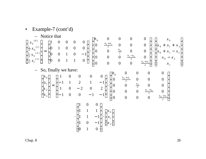• Example-7 (cont'd)  
\n- Notice that  
\n
$$
\begin{bmatrix}\ns_0^{(0)} \\
\frac{1}{2}s_0^{(1)} \\
\frac{1}{2}s_0^{(2)} \\
\frac{1}{2}s_0^{(2)}\n\end{bmatrix} = \begin{bmatrix}\n1 & 0 & 0 & 0 & 0 \\
0 & 1 & 0 & 0 & 0 \\
0 & 0 & 1 & 0 & -1 \\
0 & 0 & 1 & 1 & 0\n\end{bmatrix} \cdot \begin{bmatrix}\nh_0 & 0 & 0 & 0 & 0 \\
0 & \frac{h_0 + h_1}{2} & 0 & 0 & 0 \\
0 & 0 & \frac{h_1 - h_0}{2} & 0 & 0 \\
0 & 0 & 0 & \frac{h_1 + h_1}{2} & 0 \\
0 & 0 & 0 & 0 & \frac{h_0 + h_1}{2}\n\end{bmatrix} \cdot \begin{bmatrix}\nx_0 \\
x_0 + x_1 + x_2 \\
x_0 - x_2 \\
x_0 - x_2\n\end{bmatrix}
$$
\n- So, finally we have:  
\n
$$
\begin{bmatrix}\ns_0 \\
s_1 \\
s_2 \\
s_3\n\end{bmatrix} = \begin{bmatrix}\n1 & 0 & 0 & 0 & 0 \\
-1 & 1 & 2 & 1 & -1 \\
1 & 0 & -2 & 0 & 2 \\
-1 & 0 & 0 & -1 & -1\n\end{bmatrix} \cdot \begin{bmatrix}\nh_0 & 0 & 0 & 0 & 0 \\
0 & \frac{h_0 + h_1}{2} & 0 & 0 & 0 \\
0 & 0 & \frac{h_0}{2} & 0 & 0 \\
0 & 0 & 0 & \frac{h_1 - h_0}{2} & 0 \\
0 & 0 & 0 & 0 & \frac{h_0 + h_1}{2}\n\end{bmatrix}
$$
\n
$$
\cdot \begin{bmatrix}\n1 & 0 & 0 \\
1 & 1 & 1 \\
1 & 1 & -1 \\
1 & 0 & -1 \\
0 & 1 & 0\n\end{bmatrix} \cdot \begin{bmatrix}\nx_0 \\
x_1 \\
x_2\n\end{bmatrix}
$$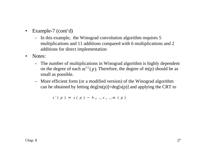- Example-7 (cont'd)
	- In this example, the Winograd convolution algorithm requires 5 multiplications and 11 additions compared with 6 multiplications and 2 additions for direct implementation
- Notes:
	- The number of multiplications in Winograd algorithm is highly dependent on the degree of each  $m^{(i)}(p)$ . Therefore, the degree of m(p) should be as small as possible.
	- More efficient form (or a modified version) of the Winograd algorithm can be obtained by letting  $deg[m(p)] = deg[s(p)]$  and applying the CRT to

 $s' ( p ) = s ( p ) - h_{N-1} x_{L-1} m ( p )$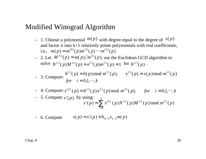### Modified Winograd Algorithm

- $-1$ . Choose a polynomial  $m(p)$  with degree equal to the degree of  $s(p)$ and factor it into k+1 relatively prime polynomials with real coefficients, i.e.,  $m(p) = m^{(0)}(p) m^{(1)}(p) \cdots m^{(k)}(p)$
- 2. Let  $M^{(i)}(p) = m(p)/m^{(i)}(p)$ , use the Euclidean GCD algorithm to solve  $N^{(i)}(p)M^{(i)}(p) + n^{(i)}(p)m^{(i)}(p) = 1$  for  $N^{(i)}(p)$ .

- 3. Compute: 
$$
\frac{h^{(i)}(p) = h(p) \mod m^{(i)}(p), \quad x^{(i)}(p) = x(p) \mod m^{(i)}(p)}
$$
  
for  $i = 0, 1, \dots, k$ 

- 4. Compute: 
$$
s^{(i)}(p) = h^{(i)}(p)x^{(i)}(p) \mod m^{(i)}(p)
$$
, for  $i = 0,1,\dots,k$ 

- 5. Compute 
$$
s'(p)
$$
 by using:  
\n
$$
s'(p) = \sum_{i=0}^{k} s^{(i)}(p)N^{(i)}(p)M^{(i)}(p) \bmod m^{(i)}(p)
$$

- 6. Compute 
$$
s(p) = s'(p) + h_{N-1}x_{L-1}m(p)
$$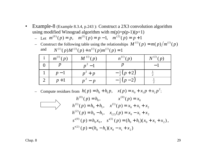• Example-8 (Example 8.3.4, p.243 ): Construct a 2X3 convolution algorithm using modified Winograd algorithm with  $m(p)=p(p-1)(p+1)$ 

- Let 
$$
m^{(0)}(p) = p
$$
,  $m^{(1)}(p) = p - 1$ ,  $m^{(2)}(p) = p + 1$ 

- Construct the following table using the relationships  $M^{(i)}(p) = m(p)/m^{(i)}(p)$ and  $N^{(i)}(p)M^{(i)}(p) + n^{(i)}(p)m^{(i)}(p) = 1$ 

| $\begin{array}{c c} i & m^{(i)}(p) \end{array}$ | $M^{(i)}(p)$ | $n^{(i)}(p)$        | $N^{(i)}(p)$ |
|-------------------------------------------------|--------------|---------------------|--------------|
|                                                 |              |                     |              |
|                                                 | $p^2+p$      | $-\frac{1}{2}(p+2)$ |              |
| $p+1$                                           | $p^{-} - p$  | $-\frac{1}{2}(p-2)$ |              |

- Compute residues from  $h(p) = h_0 + h_1 p$ ,  $x(p) = x_0 + x_1 p + x_2 p^2$ .

$$
h^{(0)}(p) = h_0, \t x^{(0)}(p) = x_0
$$
  
\n
$$
h^{(1)}(p) = h_0 + h_1, \t x^{(1)}(p) = x_0 + x_1 + x_2
$$
  
\n
$$
h^{(2)}(p) = h_0 - h_1, \t x_{(2)}(p) = x_0 - x_1 + x_2
$$
  
\n
$$
s'^{(0)}(p) = h_0 x_0, \t s'^{(1)}(p) = (h_0 + h_1)(x_0 + x_1 + x_2),
$$
  
\n
$$
s'^{(2)}(p) = (h_0 - h_1)(x_0 - x_1 + x_2)
$$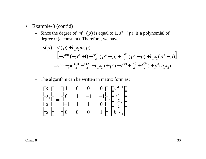- Example-8 (cont'd)
	- Since the degree of  $m^{(i)}(p)$  is equal to 1,  $s^{(i)}(p)$  is a polynomial of degree 0 (a constant). Therefore, we have:

$$
s(p) = s'(p) + h_1 x_2 m(p)
$$
  
=  $\left[ -s^{(0)}(-p^2 + 1) + \frac{s^{(0)}}{2}(p^2 + p) + \frac{s^{(2)}}{2}(p^2 - p) + h_1 x_2 (p^3 - p) \right]$   
=  $s^{(0)} + p(\frac{s'(1)}{2} - \frac{s'(2)}{2} - h_1 x_2) + p^2(-s^{(0)} + \frac{s^{(1)}}{2} + \frac{s^{(2)}}{2}) + p^3(h_1 x_2)$ 

– The algorithm can be written in matrix form as:

$$
\begin{bmatrix} s_0 \\ s_1 \\ s_2 \\ s_3 \end{bmatrix} = \begin{bmatrix} 1 & 0 & 0 & 0 \\ 0 & 1 & -1 & -1 \\ -1 & 1 & 1 & 0 \\ 0 & 0 & 0 & 1 \end{bmatrix} \cdot \begin{bmatrix} s^{(0)} \\ \frac{s^{(1)}}{2} \\ \frac{s^{(2)}}{2} \\ h_1 x_2 \end{bmatrix}
$$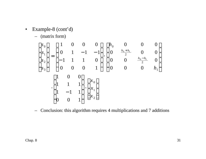- Example-8 (cont'd)
	- (matrix form)

$$
\begin{bmatrix}\ns_0 \\
s_1 \\
s_2 \\
s_3\n\end{bmatrix} = \begin{bmatrix}\n1 & 0 & 0 & 0 \\
0 & 1 & -1 & -1 \\
-1 & 1 & 1 & 0 \\
0 & 0 & 0 & 1\n\end{bmatrix} \cdot \begin{bmatrix}\nh_0 & 0 & 0 & 0 \\
0 & \frac{h_0 + h_1}{2} & 0 & 0 \\
0 & 0 & \frac{h_0 - h_1}{2} & 0 \\
0 & 0 & 0 & h_1\n\end{bmatrix}
$$
\n
$$
\cdot \begin{bmatrix}\n1 & 0 & 0 \\
1 & 1 & 1 \\
1 & -1 & 1 \\
0 & 0 & 1\n\end{bmatrix} \cdot \begin{bmatrix}\nx_0 \\
x_1 \\
x_2\n\end{bmatrix}
$$

– Conclusion: this algorithm requires 4 multiplications and 7 additions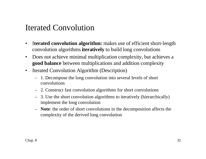## Iterated Convolution

- I**terated convolution algorithm:** makes use of efficient short-length convolution algorithms **iteratively** to build long convolutions
- Does not achieve minimal multiplication complexity, but achieves a **good balance** between multiplications and addition complexity
- Iterated Convolution Algorithm (Description)
	- 1. Decompose the long convolution into several levels of short convolutions
	- 2. Construct fast convolution algorithms for short convolutions
	- 3. Use the short convolution algorithms to iteratively (hierarchically) implement the long convolution
	- **Note**: the order of short convolutions in the decomposition affects the complexity of the derived long convolution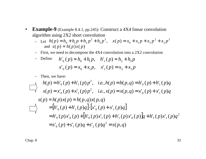- **Example-9** (Example 8.4.1, pp.245): Construct a 4X4 linear convolution algorithm using 2X2 short convolution
	- Let  $h(p) = h_0 + h_1 p + h_2 p^2 + h_3 p^3$ ,  $x(p) = x_0 + x_1 p + x_2 p^2 + x_3 p^3$ and  $s(p) = h(p)x(p)$ 3 2  $0^{+}$   $\lambda_1$   $P^{+}$   $\lambda_2$ 3 3  $h(p) = h_0 + h_1 p + h_2 p^2 + h_3 p^3$ ,  $x(p) = x_0 + x_1 p + x_2 p^2 + x_3 p^4$
	- First, we need to decompose the 4X4 convolution into a 2X2 convolution

- Define 
$$
h'_0(p) = h_0 + h_1 p
$$
,  $h'_1(p) = h_2 + h_3 p$   
\n $x'_0(p) = x_0 + x_1 p$ ,  $x'_1(p) = x_2 + x_3 p$ 

– Then, we have:

$$
h(p) = h'_{0}(p) + h'_{1}(p)p^{2}, \quad i.e., h(p) = h(p,q) = h'_{0}(p) + h'_{1}(p)q
$$
  
\n
$$
x(p) = x'_{0}(p) + x'_{1}(p)p^{2}, \quad i.e., x(p) = x(p,q) = x'_{0}(p) + x'_{1}(p)q
$$
  
\n
$$
s(p) = h(p)x(p) = h(p,q)x(p,q)
$$
  
\n
$$
= [h'_{0}(p) + h'_{1}(p)q] \cdot [x'_{0}(p) + x'_{1}(p)q]
$$
  
\n
$$
= h'_{0}(p)x'_{0}(p) + [h'_{0}(p)x'_{1}(p) + h'_{1}(p)x'_{0}(p)]q + h'_{1}(p)x'_{1}(p)q^{2}
$$
  
\n
$$
= s'_{0}(p) + s'_{1}(p)q + s'_{2}(p)q^{2} = s(p,q)
$$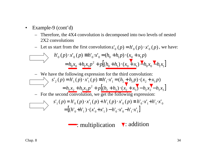- Example-9 (cont'd)
	- Therefore, the 4X4 convolution is decomposed into two levels of nested 2X2 convolutions
	- Let us start from the first convolution  $s'_0(p) = h'_0(p) \cdot x'_0(p)$ , we have:

$$
h'_0(p) \cdot x'_0(p) \equiv h'_0 \cdot x'_0 = (h_0 + h_1 p) \cdot (x_0 + x_1 p)
$$
  
=  $h_0 x_0 + h_1 x_1 p^2 + p [(h_0 + h_1) \cdot (x_0 + x_1) \cdot h_0 x_0 \cdot h_1 x_1]$ 

We have the following expression for the third convolution:  
\n
$$
s'_{2}(p) = h'_{1}(p) \cdot x'_{1}(p) = h'_{1} \cdot x'_{1} = (h_{2} + h_{3}p) \cdot (x_{2} + x_{3}p)
$$
\n
$$
= h_{2}x_{2} + h_{3}x_{3}p^{2} + p[(h_{2} + h_{3}) \cdot (x_{2} + x_{3}) - h_{2}x_{2} - h_{3}x_{3}]
$$
\nFor the second convolution, we get the following expression:  
\n
$$
s'_{1}(p) = h'_{0}(p) \cdot x'_{1}(p) + h'_{1}(p) \cdot x'_{0}(p) \equiv h'_{0} \cdot x'_{1} + h'_{1} \cdot x'_{0}
$$
\n
$$
= [(h'_{0} + h'_{1}) \cdot (x'_{0} + x'_{1}) - h'_{0} \cdot x'_{0} - h'_{1} \cdot x'_{1}]
$$

: multiplication v: addition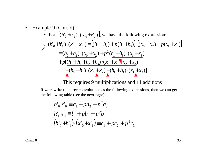• Example-9 (Cont'd)  
\n• For 
$$
[(h'_0 + h'_1) \cdot (x'_0 + x'_1)]
$$
, we have the following expression:  
\n
$$
\frac{\partial}{\partial x} \left\{ h'_0 + h'_1 \right\} \cdot (x'_0 + x'_1) = [(h_0 + h_2) + p(h_1 + h_3)] \cdot [(x_0 + x_2) + p(x_1 + x_3)]
$$
\n
$$
= (h_0 + h_2) \cdot (x_0 + x_2) + p^2 (h_1 + h_3) \cdot (x_1 + x_3)
$$
\n
$$
+ p[(h_0 + h_1 + h_2 + h_3) \cdot (x_0 + x_1 + x_2 + x_3)]
$$
\n
$$
\frac{\partial}{\partial x} [(h_0 + h_2) \cdot (x_0 + x_2) - (h_1 + h_3) \cdot (x_1 + x_3)]
$$

#### This requires 9 multiplications and 11 additions

– If we rewrite the three convolutions as the following expressions, then we can get the following table (see the next page):

$$
h'_0 x'_0 \equiv a_1 + p a_2 + p^2 a_3
$$
  
\n
$$
h'_1 x'_1 \equiv b_1 + p b_2 + p^2 b_3
$$
  
\n
$$
(h'_0 + h'_1) \cdot (x'_0 + x'_1) \equiv c_1 + p c_2 + p^2 c_3
$$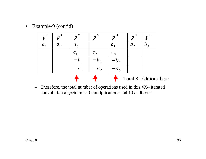• Example-9 (cont'd)

| $p^{0}$     |              |           | $\boldsymbol{r}$ |         | - 6<br>$\boldsymbol{n}$ |
|-------------|--------------|-----------|------------------|---------|-------------------------|
| $a_{\rm A}$ | $a_{\alpha}$ | $a_3$     |                  |         |                         |
|             |              |           | $c_{\gamma}$     |         |                         |
|             |              |           |                  | $v_{3}$ |                         |
|             |              | $- a_{1}$ | a <sub>2</sub>   | $a_3$   |                         |
|             |              |           |                  |         | Total 8 additions here  |

– Therefore, the total number of operations used in this 4X4 iterated convolution algorithm is 9 multiplications and 19 additions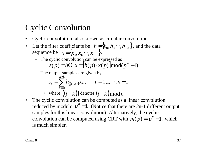## Cyclic Convolution

- Cyclic convolution: also known as circular convolution
- Let the filter coefficients be  $h = \{h_0, h_1, \dots, h_{n-1}\}$ , and the data sequence be  $x = \{x_0, x_1, \dots, x_{n-1}\}.$ 
	- The cyclic convolution can be expressed as  $S(p) = hO_n x = [h(p) \cdot x(p)] \text{mod}(p^n - 1)$
	- The output samples are given by

$$
s_i = \sum_{k=0}^{n-1} h_{((i-k))} x_k, \qquad i = 0, 1, \dots, n-1
$$

• where 
$$
((i-k))
$$
 denotes  $(i-k) \mod n$ 

• The cyclic convolution can be computed as a linear convolution reduced by modulo  $p^n - 1$ . (Notice that there are 2n-1 different output samples for this linear convolution). Alternatively, the cyclic convolution can be computed using CRT with  $m(p) = p^n - 1$ , which is much simpler.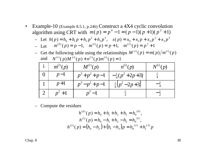• Example-10 (Example 8.5.1, p.246) Construct a 4X4 cyclic convolution algorithm using CRT with  $m(p) = p^4 - 1 = (p - 1)(p + 1)(p^2 + 1)$ 

- Let 
$$
h(p) = h_0 + h_1 p + h_2 p^2 + h_3 p^3
$$
,  $x(p) = x_0 + x_1 p + x_2 p^2 + x_3 p^3$   
- Let  $m^{(0)}(p) = p - 1$ ,  $m^{(1)}(p) = p + 1$ ,  $m^{(2)}(p) = p^2 + 1$ 

- Get the following table using the relationships 
$$
M^{(i)}(p) = m(p)/m^{(i)}(p)
$$
  
and  $N^{(i)}(p)M^{(i)}(p) + n^{(i)}(p)m^{(i)}(p) = 1$ 

| $m^{(i)}(p)$ | $M^{(i)}(p)$  | $n^{(i)}(p)$                           | $N^{(i)}(p)$ |
|--------------|---------------|----------------------------------------|--------------|
| $p-1$        |               | $p^3+p^2+p-1$ $-\frac{1}{4}(p^2+2p+3)$ |              |
| $p+1$        | $p^3-p^2+p-1$ | $\frac{1}{4}(p^2-2p+3)$                |              |
|              |               |                                        |              |

– Compute the residues

$$
h^{(0)}(p) = h_0 + h_1 + h_2 + h_3 = h_0^{(0)},
$$
  
\n
$$
h^{(1)}(p) = h_0 - h_1 + h_2 - h_3 = h_0^{(1)},
$$
  
\n
$$
h^{(2)}(p) = (h_0 - h_2) + (h_1 - h_3)p = h_0^{(2)} + h_1^{(2)}p
$$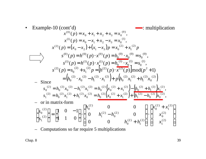• Example-10 (cont'd)  
\n
$$
x^{(0)}(p) = x_0 + x_1 + x_2 + x_3 = x_0^{(0)}
$$
  
\n $x^{(1)}(p) = x_0 - x_1 + x_2 - x_3 = x_0^{(1)}$   
\n $x^{(2)}(p) = (x_0 - x_2) + (x_1 - x_3)p = x_0^{(2)} + x_1^{(2)}p$   
\n $s^{(0)}(p) = h^{(0)}(p) \cdot x^{(0)}(p) = h_0^{(0)} \cdot x_0^{(0)} = s_0^{(0)}$   
\n $s^{(1)}(p) = h^{(1)}(p) \cdot x^{(1)}(p) = h_0^{(1)} \cdot x_0^{(1)} = s_0^{(1)}$   
\n $s^{(2)}(p) = s_0^{(2)} + s_1^{(2)}p = [h^{(2)}(p) \cdot x^{(2)}(p)] \mod (p^2 + 1)$   
\n- Since  $= (h_0^{(2)} \cdot x_0^{(2)} - h_1^{(2)} \cdot x_1^{(2)}) + p(h_0^{(2)}x_1^{(2)} + h_1^{(2)}x_0^{(2)})$   
\n $s_0^{(2)} = h_0^{(2)}x_0^{(2)} - h_1^{(2)}x_1^{(2)} = h_0^{(2)}(x_0^{(2)} + x_1^{(2)}) - (h_0^{(2)} + h_1^{(2)})x_1^{(2)}$ ,  
\n $s_1^{(2)} = h_0^{(2)}x_1^{(2)} + h_1^{(2)}x_0^{(2)} = h_0^{(2)}(x_0^{(2)} + x_1^{(2)}) + (h_1^{(2)} - h_0^{(2)})x_0^{(2)}$ ,  
\n- or in matrix-form  
\n
$$
\begin{bmatrix} s_0^{(2)} \\ s_1^{(2)} \end{bmatrix} = \begin{bmatrix} 1 & 0 & -1 \\ 1 & 1 & 0 \end{bmatrix} \begin{bmatrix} h_0^{(2)} & 0 & 0 \\ 0 & h_1^{(2)} - h_0^{(2)} & 0 \\ 0 & 0 & h_0^{(2)} + h_1^{(2)} \end{bmatrix} \begin{bmatrix} x_0^{(2)} + x_1^{(2)} \\ x_1^{(2)} \end{bmatrix}
$$

– Computations so far require 5 multiplications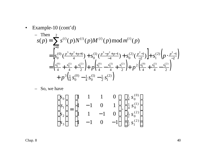• Example-10 (cont'd)

$$
\begin{split}\n&= \text{Then} \\
&S(p) = \sum_{i=0}^{2} s^{(i)}(p)N^{(i)}(p)M^{(i)}(p) \mod m^{(i)}(p) \\
&= \left[ s_0^{(0)} \left( \frac{p^3 + p^2 + p + 1}{4} \right) + s_0^{(1)} \left( \frac{p^3 - p^2 + p - 1}{-4} \right) + s_0^{(2)} \left( \frac{p^2 - 1}{-2} \right) \right] + s_1^{(2)} \left( p \cdot \frac{p^2 - 1}{-2} \right) \\
&= \left( \frac{s_0^{(0)}}{4} + \frac{s_0^{(1)}}{4} + \frac{s_0^{(2)}}{2} \right) + p \left( \frac{s_0^{(0)}}{4} - \frac{s_0^{(1)}}{4} + \frac{s_1^{(2)}}{2} \right) + p^2 \left( \frac{s_0^{(0)}}{4} + \frac{s_0^{(1)}}{4} - \frac{s_0^{(2)}}{2} \right) \\
&+ p^3 \left( \frac{1}{4} s_0^{(0)} - \frac{1}{4} s_0^{(1)} - \frac{1}{2} s_1^{(2)} \right)\n\end{split}
$$

– So, we have

$$
\begin{bmatrix} s_0 \\ s_1 \\ s_2 \\ s_3 \end{bmatrix} = \begin{bmatrix} 1 & 1 & 1 & 0 \\ 1 & -1 & 0 & 1 \\ 1 & 1 & -1 & 0 \\ 1 & -1 & 0 & -1 \end{bmatrix} \cdot \begin{bmatrix} \frac{1}{4} s_0^{(0)} \\ \frac{1}{4} s_0^{(1)} \\ \frac{1}{2} s_0^{(2)} \\ \frac{1}{2} s_1^{(2)} \end{bmatrix}
$$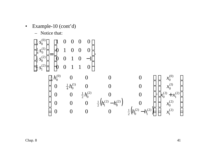• Example-10 
$$
(cont'd)
$$

– Notice that:

$$
\begin{bmatrix}\n\frac{1}{4} s_0^{(0)} \\
\frac{1}{4} s_0^{(1)} \\
\frac{1}{2} s_0^{(2)}\n\end{bmatrix} =\n\begin{bmatrix}\n1 & 0 & 0 & 0 & 0 \\
0 & 1 & 0 & 0 & 0 \\
0 & 0 & 1 & 0 & -1 \\
0 & 0 & 1 & 1 & 0\n\end{bmatrix}.
$$
\n
$$
\begin{bmatrix}\n\frac{1}{4} h_0^{(0)} & 0 & 0 & 0 & 0 \\
0 & \frac{1}{4} h_0^{(1)} & 0 & 0 & 0 \\
0 & 0 & \frac{1}{2} h_0^{(2)} & 0 & 0 \\
0 & 0 & 0 & \frac{1}{2} h_0^{(2)} & 0\n\end{bmatrix} \begin{bmatrix}\n\frac{1}{4} h_0^{(0)} & 0 & 0 & 0 \\
0 & 0 & 0 & \frac{1}{2} h_0^{(2)} & 0 \\
0 & 0 & 0 & 0 & 0 \\
0 & 0 & 0 & 0 & 0\n\end{bmatrix}.
$$

$$
\begin{bmatrix}\n0 & \frac{1}{4}h_0^{(1)} & 0 & 0 & 0 \\
0 & 0 & \frac{1}{2}h_0^{(2)} & 0 & 0 \\
0 & 0 & 0 & \frac{1}{2}(h_1^{(2)} - h_0^{(2)}) & 0 \\
0 & 0 & 0 & 0 & \frac{1}{2}(h_0^{(2)} - h_1^{(2)})\n\end{bmatrix}\n\begin{bmatrix}\nx_0^{(1)} \\
x_0^{(2)} + x_1^{(2)} \\
x_0^{(2)} \\
x_1^{(2)}\n\end{bmatrix}
$$

 $\overline{\phantom{a}}$ 

(1)

(0) 0

*x*

 $\overline{\phantom{a}}$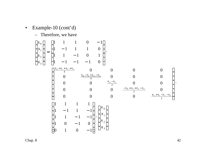- -

• Example-10 (cont'd)  
\n– Therefore, we have  
\n
$$
\begin{bmatrix}\ns_0 \\
s_1 \\
s_2 \\
s_3\n\end{bmatrix} = \begin{bmatrix}\n1 & 1 & 1 & 0 & -1 \\
1 & -1 & 1 & 1 & 0 \\
1 & 1 & -1 & 0 & 1 \\
1 & -1 & -1 & -1 & 0\n\end{bmatrix}.
$$
\n
$$
\begin{bmatrix}\n\frac{h_0 + h_1 + h_2 + h_3}{4} & 0 & 0 & 0 & 0 \\
0 & \frac{h_0 - h_1 + h_2 - h_3}{4} & 0 & 0 & 0 \\
0 & 0 & \frac{h_0 - h_2}{2} & 0 & 0 \\
0 & 0 & 0 & 0 & \frac{h_0 + h_1 + h_2 - h_3}{2}\n\end{bmatrix}.
$$
\n
$$
\begin{bmatrix}\n1 & 1 & 1 & 1 \\
1 & -1 & 1 & -1 \\
1 & -1 & 1 & -1 \\
1 & 0 & -1 & 0 \\
0 & 1 & 0 & -1\n\end{bmatrix} \cdot \begin{bmatrix}\nx_0 \\
x_1 \\
x_2 \\
x_3\n\end{bmatrix}
$$
\nChap. 8  
\n2  
\n1  
\n
$$
x_1
$$
\n
$$
x_2
$$
\n
$$
x_3
$$
\n
$$
x_4
$$
\n
$$
x_2
$$
\n
$$
x_3
$$
\n
$$
x_4
$$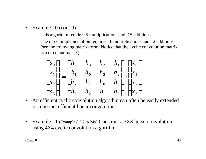- Example-10 (cont'd)
	- This algorithm requires 5 multiplications and 15 additions
	- The direct implementation requires 16 multiplications and 12 additions (see the following matrix-form. Notice that the cyclic convolution matrix is a circulant matrix)

$$
\begin{bmatrix} s_0 \\ s_1 \\ s_2 \\ s_3 \end{bmatrix} = \begin{bmatrix} h_0 & h_3 & h_2 & h_1 \\ h_1 & h_0 & h_3 & h_2 \\ h_2 & h_1 & h_0 & h_3 \\ h_3 & h_2 & h_1 & h_0 \end{bmatrix} \cdot \begin{bmatrix} x_0 \\ x_1 \\ x_2 \\ x_3 \end{bmatrix}
$$

- An efficient cyclic convolution algorithm can often be easily extended to construct efficient linear convolution
- Example-11 (Example 8.5.2, p.249) Construct a 3X3 linear convolution using 4X4 cyclic convolution algorithm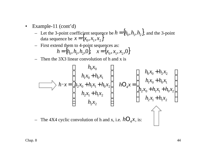- Example-11 (cont'd)
	- Let the 3-point coefficient sequence be  $h = \{h_0, h_1, h_2\}$ , and the 3-point data sequence be  $h = \{h_0, h_1, h_2\},\$  $x = \{x_0, x_1, x_2\}$
	- First extend them to 4-point sequences as:  $h = \{h_0, h_1, h_2, 0\}, \quad x = \{x_0, x_1, x_2, 0\}$
	- Then the 3X3 linear convolution of h and x is

$$
h \cdot x = \begin{bmatrix} h_0 x_0 \\ h_1 x_0 + h_0 x_1 \\ h_2 x_0 + h_1 x_1 + h_0 x_2 \\ h_2 x_1 + h_1 x_2 \\ h_2 x_2 \end{bmatrix} \quad h \text{O}_4 x = \begin{bmatrix} h_0 x_0 + h_2 x_2 \\ h_1 x_0 + h_0 x_1 \\ h_2 x_0 + h_1 x_1 + h_0 x_2 \\ h_2 x_1 + h_1 x_2 \end{bmatrix}
$$

- The 4X4 cyclic convolution of h and x, i.e.  $hO_4x$ , is:

 $\mathbb{R}$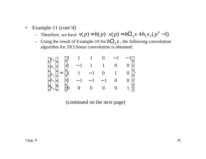- Example-11 (cont'd)
	- $\therefore$  Therefore, we have  $s(p) = h(p) \cdot x(p) = hO_n x + h_2 x_2 (p^4 1)$
	- Using the result of Example-10 for  $hO_4x$ , the following convolution algorithm for 3X3 linear convolution is obtained:

$$
\begin{bmatrix} s_0 \\ s_1 \\ s_2 \\ s_3 \\ s_4 \end{bmatrix} = \begin{bmatrix} 1 & 1 & 1 & 0 & -1 & -1 \\ 1 & -1 & 1 & 1 & 0 & 0 \\ 1 & 1 & -1 & 0 & 1 & 0 \\ 1 & -1 & -1 & -1 & 0 & 0 \\ 0 & 0 & 0 & 0 & 0 & 1 \end{bmatrix}.
$$

(continued on the next page)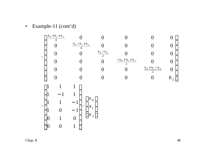• Example-11 (cont'd)  
\n
$$
\begin{bmatrix}\n\frac{h_0 + h_1 + h_2}{4} & 0 & 0 & 0 & 0 & 0 \\
0 & \frac{h_0 - h_1 + h_2}{4} & 0 & 0 & 0 & 0 \\
0 & 0 & \frac{h_0 - h_2}{2} & 0 & 0 & 0 \\
0 & 0 & 0 & \frac{-h_0 + h_1 + h_2}{2} & 0 & 0 \\
0 & 0 & 0 & 0 & \frac{h_0 + h_1 - h_2}{2} & 0 \\
0 & 0 & 0 & 0 & 0 & h_2\n\end{bmatrix}
$$
\n
$$
\begin{bmatrix}\n1 & 1 & 1 \\
1 & -1 & 1 \\
1 & 1 & -1 \\
1 & 0 & -1 \\
0 & 1 & 0 \\
0 & 0 & 1\n\end{bmatrix}\n\cdot\n\begin{bmatrix}\nx_0 \\
x_1 \\
x_2\n\end{bmatrix}
$$
\nChap. 8  
\n46  
\n46  
\n47  
\n48  
\n49  
\n40  
\n40  
\n41  
\n42  
\n43  
\n44  
\n45  
\n46  
\n48  
\n49  
\n40  
\n41  
\n42  
\n43  
\n44  
\n45  
\n46  
\n48  
\n49  
\n40  
\n41  
\n42  
\n43  
\n44  
\n45  
\n46  
\n48  
\n49  
\n40  
\n41  
\n42  
\n43  
\n44  
\n45  
\n46  
\n48  
\n49  
\n40  
\n41  
\n42  
\n43  
\n44  
\n45  
\n46  
\n48  
\n49  
\n40  
\n41  
\n42  
\n43  
\n44  
\n45  
\n46  
\n47  
\n48  
\n49  
\n40  
\n41  
\n42  
\n43  
\n44  
\n45  
\n46  
\n47  
\n48  
\n49  
\n40  
\n41  
\n42  
\n43  
\n45  
\n46  
\n47  
\n48  
\n49  
\n40  
\n41  
\n42  
\n43  
\n44  
\n45  
\n46  
\n47  
\n48  
\n49  
\n40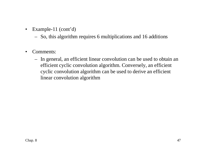- Example-11 (cont'd)
	- So, this algorithm requires 6 multiplications and 16 additions
- Comments:
	- In general, an efficient linear convolution can be used to obtain an efficient cyclic convolution algorithm. Conversely, an efficient cyclic convolution algorithm can be used to derive an efficient linear convolution algorithm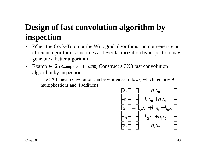# **Design of fast convolution algorithm by inspection**

- When the Cook-Toom or the Winograd algorithms can not generate an efficient algorithm, sometimes a clever factorization by inspection may generate a better algorithm
- Example-12 (Example 8.6.1, p.250) Construct a 3X3 fast convolution algorithm by inspection
	- The 3X3 linear convolution can be written as follows, which requires 9 multiplications and 4 additions

$$
\begin{bmatrix}\ns_0 \\
s_1 \\
s_2 \\
s_3 \\
s_4\n\end{bmatrix} =\n\begin{bmatrix}\nh_0 x_0 \\
h_1 x_0 + h_0 x_1 \\
h_2 x_0 + h_1 x_1 + h_0 x_2 \\
h_2 x_1 + h_1 x_2 \\
h_2 x_2\n\end{bmatrix}
$$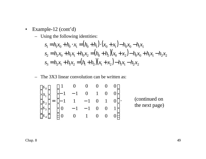- Example-12 (cont'd)
	- Using the following identities:

$$
s_1 = h_1 x_0 + h_0 \cdot x_1 = (h_0 + h_1) \cdot (x_0 + x_1) - h_0 x_0 - h_1 x_1
$$
  
\n
$$
s_2 = h_2 x_0 + h_1 x_1 + h_0 x_2 = (h_0 + h_2)(x_0 + x_2) - h_0 x_0 + h_1 x_1 - h_2 x_2
$$
  
\n
$$
s_3 = h_2 x_1 + h_1 x_2 = (h_1 + h_2)(x_1 + x_2) - h_1 x_1 - h_2 x_2
$$

– The 3X3 linear convolution can be written as:

$$
\begin{bmatrix} s_0 \\ s_1 \\ s_2 \\ s_3 \\ s_4 \end{bmatrix} = \begin{bmatrix} 1 & 0 & 0 & 0 & 0 & 0 \\ -1 & -1 & 0 & 1 & 0 & 0 \\ -1 & 1 & -1 & 0 & 1 & 0 \\ 0 & -1 & -1 & 0 & 0 & 1 \\ 0 & 0 & 1 & 0 & 0 & 0 \end{bmatrix}.
$$
 (continued on the next page)